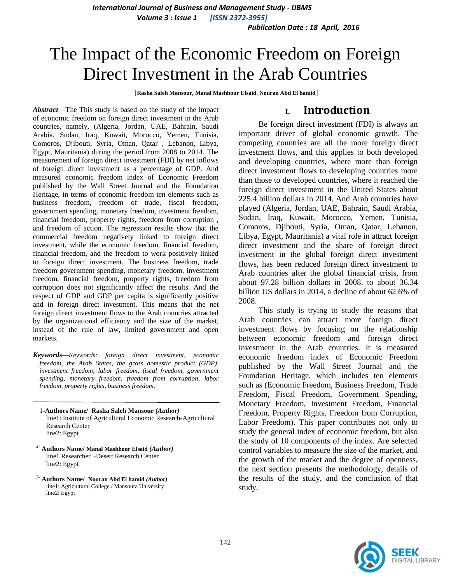*International Journal of Business and Management Study - IJBMS Volume 3 : Issue 1 [ISSN 2372-3955]*

*Publication Date : 18 April, 2016*

# The Impact of the Economic Freedom on Foreign Direct Investment in the Arab Countries

[**Rasha Saleh Mansour, Manal Mashhour Elsaid**, **Nouran Abd El hamid**]

*Abstract*—The This study is based on the study of the impact of economic freedom on foreign direct investment in the Arab countries, namely, (Algeria, Jordan, UAE, Bahrain, Saudi Arabia, Sudan, Iraq, Kuwait, Morocco, Yemen, Tunisia, Comoros, Djibouti, Syria, Oman, Qatar , Lebanon, Libya, Egypt, Mauritania) during the period from 2008 to 2014. The measurement of foreign direct investment (FDI) by net inflows of foreign direct investment as a percentage of GDP. And measured economic freedom index of Economic Freedom published by the Wall Street Journal and the Foundation Heritage, in terms of economic freedom ten elements such as business freedom, freedom of trade, fiscal freedom, government spending, monetary freedom, investment freedom, financial freedom, property rights, freedom from corruption , and freedom of action. The regression results show that the commercial freedom negatively linked to foreign direct investment, while the economic freedom, financial freedom, financial freedom, and the freedom to work positively linked to foreign direct investment. The business freedom, trade freedom government spending, monetary freedom, investment freedom, financial freedom, property rights, freedom from corruption does not significantly affect the results. And the respect of GDP and GDP per capita is significantly positive and in foreign direct investment. This means that the net foreign direct investment flows to the Arab countries attracted by the organizational efficiency and the size of the market, instead of the rule of law, limited government and open markets.

*Keywords—Keywords: foreign direct investment, economic freedom, the Arab States, the gross domestic product (GDP), investment freedom, labor freedom, fiscal freedom, government spending, monetary freedom, freedom from corruption, labor freedom, property rights, business freedom.*

- 1-**Authors Name/ Rasha Saleh Mansour** *(Author)* line1: Institute of Agricultural Economic Research-Agricultural Research Center line2: Egypt
- 2- **Authors Name/ Manal Mashhour Elsaid** *(Author)* line1 Researcher -Desert Research Center line2: Egypt
- 3- **Authors Name/ Nouran Abd El hamid** *(Author)* line1: Agricultural College / Mansoura University line2: Egypt

## **I. Introduction**

Be foreign direct investment (FDI) is always an important driver of global economic growth. The competing countries are all the more foreign direct investment flows, and this applies to both developed and developing countries, where more than foreign direct investment flows to developing countries more than those to developed countries, where it reached the foreign direct investment in the United States about 225.4 billion dollars in 2014. And Arab countries have played (Algeria, Jordan, UAE, Bahrain, Saudi Arabia, Sudan, Iraq, Kuwait, Morocco, Yemen, Tunisia, Comoros, Djibouti, Syria, Oman, Qatar, Lebanon, Libya, Egypt, Mauritania) a vital role in attract foreign direct investment and the share of foreign direct investment in the global foreign direct investment flows, has been reduced foreign direct investment to Arab countries after the global financial crisis, from about 97.28 billion dollars in 2008, to about 36.34 billion US dollars in 2014, a decline of about 62.6% of 2008.

This study is trying to study the reasons that Arab countries can attract more foreign direct investment flows by focusing on the relationship between economic freedom and foreign direct investment in the Arab countries. It is measured economic freedom index of Economic Freedom published by the Wall Street Journal and the Foundation Heritage, which includes ten elements such as (Economic Freedom, Business Freedom, Trade Freedom, Fiscal Freedom, Government Spending, Monetary Freedom, Investment Freedom, Financial Freedom, Property Rights, Freedom from Corruption, Labor Freedom). This paper contributes not only to study the general index of economic freedom, but also the study of 10 components of the index. Are selected control variables to measure the size of the market, and the growth of the market and the degree of openness, the next section presents the methodology, details of the results of the study, and the conclusion of that study.

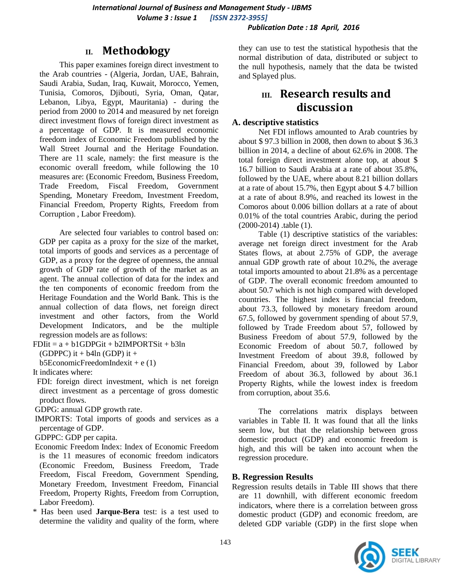#### *Publication Date : 18 April, 2016*

## **II. Methodology**

This paper examines foreign direct investment to the Arab countries - (Algeria, Jordan, UAE, Bahrain, Saudi Arabia, Sudan, Iraq, Kuwait, Morocco, Yemen, Tunisia, Comoros, Djibouti, Syria, Oman, Qatar, Lebanon, Libya, Egypt, Mauritania) - during the period from 2000 to 2014 and measured by net foreign direct investment flows of foreign direct investment as a percentage of GDP. It is measured economic freedom index of Economic Freedom published by the Wall Street Journal and the Heritage Foundation. There are 11 scale, namely: the first measure is the economic overall freedom, while following the 10 measures are: (Economic Freedom, Business Freedom, Trade Freedom, Fiscal Freedom, Government Spending, Monetary Freedom, Investment Freedom, Financial Freedom, Property Rights, Freedom from Corruption , Labor Freedom).

Are selected four variables to control based on: GDP per capita as a proxy for the size of the market, total imports of goods and services as a percentage of GDP, as a proxy for the degree of openness, the annual growth of GDP rate of growth of the market as an agent. The annual collection of data for the index and the ten components of economic freedom from the Heritage Foundation and the World Bank. This is the annual collection of data flows, net foreign direct investment and other factors, from the World Development Indicators, and be the multiple regression models are as follows:

 $FDIit = a + b1GDPGit + b2IMPORTSit + b3ln$ 

(GDPPC) it  $+$  b4ln (GDP) it  $+$ 

b5EconomicFreedomIndexit +  $e(1)$ 

It indicates where:

FDI: foreign direct investment, which is net foreign direct investment as a percentage of gross domestic product flows.

GDPG: annual GDP growth rate.

IMPORTS: Total imports of goods and services as a percentage of GDP.

GDPPC: GDP per capita.

- Economic Freedom Index: Index of Economic Freedom is the 11 measures of economic freedom indicators (Economic Freedom, Business Freedom, Trade Freedom, Fiscal Freedom, Government Spending, Monetary Freedom, Investment Freedom, Financial Freedom, Property Rights, Freedom from Corruption, Labor Freedom).
- \* Has been used **Jarque-Bera** test: is a test used to determine the validity and quality of the form, where

they can use to test the statistical hypothesis that the normal distribution of data, distributed or subject to the null hypothesis, namely that the data be twisted and Splayed plus.

# **III. Research results and discussion**

#### **A. descriptive statistics**

Net FDI inflows amounted to Arab countries by about \$ 97.3 billion in 2008, then down to about \$ 36.3 billion in 2014, a decline of about 62.6% in 2008. The total foreign direct investment alone top, at about \$ 16.7 billion to Saudi Arabia at a rate of about 35.8%, followed by the UAE, where about 8.21 billion dollars at a rate of about 15.7%, then Egypt about \$ 4.7 billion at a rate of about 8.9%, and reached its lowest in the Comoros about 0.006 billion dollars at a rate of about 0.01% of the total countries Arabic, during the period (2000-2014) .table (1).

Table (1) descriptive statistics of the variables: average net foreign direct investment for the Arab States flows, at about 2.75% of GDP, the average annual GDP growth rate of about 10.2%, the average total imports amounted to about 21.8% as a percentage of GDP. The overall economic freedom amounted to about 50.7 which is not high compared with developed countries. The highest index is financial freedom, about 73.3, followed by monetary freedom around 67.5, followed by government spending of about 57.9, followed by Trade Freedom about 57, followed by Business Freedom of about 57.9, followed by the Economic Freedom of about 50.7, followed by Investment Freedom of about 39.8, followed by Financial Freedom, about 39, followed by Labor Freedom of about 36.3, followed by about 36.1 Property Rights, while the lowest index is freedom from corruption, about 35.6.

The correlations matrix displays between variables in Table II. It was found that all the links seem low, but that the relationship between gross domestic product (GDP) and economic freedom is high, and this will be taken into account when the regression procedure.

#### **B. Regression Results**

Regression results details in Table III shows that there are 11 downhill, with different economic freedom indicators, where there is a correlation between gross domestic product (GDP) and economic freedom, are deleted GDP variable (GDP) in the first slope when

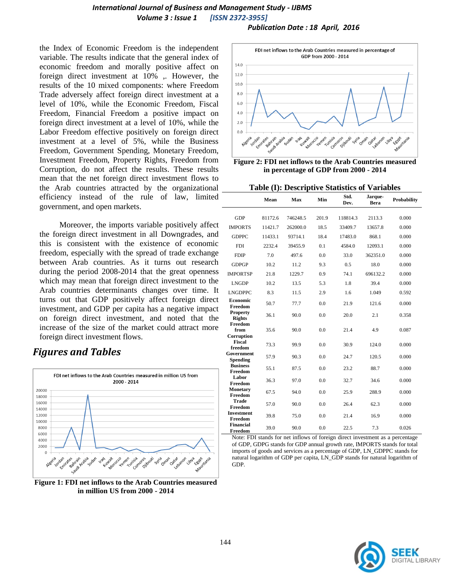### *International Journal of Business and Management Study - IJBMS Volume 3 : Issue 1 [ISSN 2372-3955]*

*Publication Date : 18 April, 2016*

the Index of Economic Freedom is the independent variable. The results indicate that the general index of economic freedom and morally positive affect on foreign direct investment at 10% ,. However, the results of the 10 mixed components: where Freedom Trade adversely affect foreign direct investment at a level of 10%, while the Economic Freedom, Fiscal Freedom, Financial Freedom a positive impact on foreign direct investment at a level of 10%, while the Labor Freedom effective positively on foreign direct investment at a level of 5%, while the Business Freedom, Government Spending, Monetary Freedom, Investment Freedom, Property Rights, Freedom from Corruption, do not affect the results. These results mean that the net foreign direct investment flows to the Arab countries attracted by the organizational efficiency instead of the rule of law, limited government, and open markets.

Moreover, the imports variable positively affect the foreign direct investment in all Downgrades, and this is consistent with the existence of economic freedom, especially with the spread of trade exchange between Arab countries. As it turns out research during the period 2008-2014 that the great openness which may mean that foreign direct investment to the Arab countries determinants changes over time. It turns out that GDP positively affect foreign direct investment, and GDP per capita has a negative impact on foreign direct investment, and noted that the increase of the size of the market could attract more foreign direct investment flows.

## *Figures and Tables*



**Figure 1: FDI net inflows to the Arab Countries measured in million US from 2000 - 2014**



**Figure 2: FDI net inflows to the Arab Countries measured in percentage of GDP from 2000 - 2014**

**Table (I): Descriptive Statistics of Variables**

|                                  | Mean    | Max      | Min   | Std.<br>Dev. | Jarque-<br><b>Bera</b> | Probability |
|----------------------------------|---------|----------|-------|--------------|------------------------|-------------|
| <b>GDP</b>                       | 81172.6 | 746248.5 | 201.9 | 118814.3     | 2113.3                 | 0.000       |
| <b>IMPORTS</b>                   | 11421.7 | 262000.0 | 18.5  | 33409.7      | 13657.8                | 0.000       |
| <b>GDPPC</b>                     | 11433.1 | 93714.1  | 18.4  | 17483.0      | 868.1                  | 0.000       |
| <b>FDI</b>                       | 2232.4  | 39455.9  | 0.1   | 4584.0       | 12093.1                | 0.000       |
| <b>FDIP</b>                      | 7.0     | 497.6    | 0.0   | 33.0         | 362351.0               | 0.000       |
| <b>GDPGP</b>                     | 10.2    | 11.2     | 9.3   | 0.5          | 18.0                   | 0.000       |
| <b>IMPORTSP</b>                  | 21.8    | 1229.7   | 0.9   | 74.1         | 696132.2               | 0.000       |
| <b>LNGDP</b>                     | 10.2    | 13.5     | 5.3   | 1.8          | 39.4                   | 0.000       |
| <b>LNGDPPC</b>                   | 8.3     | 11.5     | 2.9   | 1.6          | 1.049                  | 0.592       |
| Economic<br>Freedom              | 50.7    | 77.7     | 0.0   | 21.9         | 121.6                  | 0.000       |
| <b>Property</b><br><b>Rights</b> | 36.1    | 90.0     | 0.0   | 20.0         | 2.1                    | 0.358       |
| Freedom<br>from                  | 35.6    | 90.0     | 0.0   | 21.4         | 4.9                    | 0.087       |
| Corruption<br>Fiscal<br>freedom  | 73.3    | 99.9     | 0.0   | 30.9         | 124.0                  | 0.000       |
| Government<br><b>Spending</b>    | 57.9    | 90.3     | 0.0   | 24.7         | 120.5                  | 0.000       |
| <b>Business</b><br>Freedom       | 55.1    | 87.5     | 0.0   | 23.2         | 88.7                   | 0.000       |
| Labor<br>Freedom                 | 36.3    | 97.0     | 0.0   | 32.7         | 34.6                   | 0.000       |
| <b>Monetary</b><br>Freedom       | 67.5    | 94.0     | 0.0   | 25.9         | 288.9                  | 0.000       |
| Trade<br>Freedom                 | 57.0    | 90.0     | 0.0   | 26.4         | 62.3                   | 0.000       |
| <b>Investment</b><br>Freedom     | 39.8    | 75.0     | 0.0   | 21.4         | 16.9                   | 0.000       |
| <b>Financial</b><br>Freedom      | 39.0    | 90.0     | 0.0   | 22.5         | 7.3                    | 0.026       |

Note: FDI stands for net inflows of foreign direct investment as a percentage of GDP, GDPG stands for GDP annual growth rate, IMPORTS stands for total imports of goods and services as a percentage of GDP, LN\_GDPPC stands for natural logarithm of GDP per capita, LN\_GDP stands for natural logarithm of GDP.

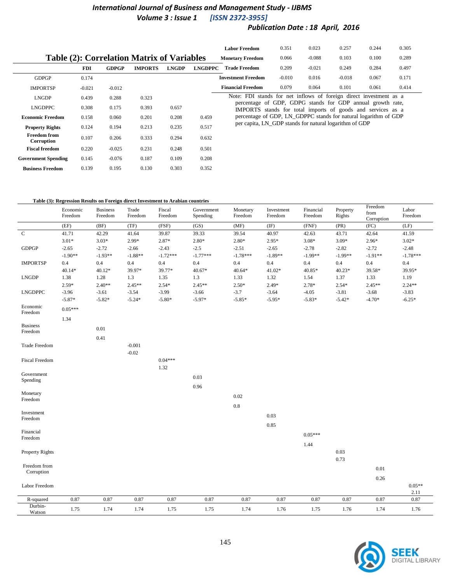## *International Journal of Business and Management Study - IJBMS Volume 3 : Issue 1*

## *Publication Date : 18 April, 2016*

|                                                   |            |              |                |              |                | <b>Labor Freedom</b>                                               | 0.351                                                                                                                     | 0.023    | 0.257    | 0.244 | 0.305 |  |  |  |  |
|---------------------------------------------------|------------|--------------|----------------|--------------|----------------|--------------------------------------------------------------------|---------------------------------------------------------------------------------------------------------------------------|----------|----------|-------|-------|--|--|--|--|
| <b>Table (2): Correlation Matrix of Variables</b> |            |              |                |              |                | <b>Monetary Freedom</b>                                            | 0.066                                                                                                                     | $-0.088$ | 0.103    | 0.100 | 0.289 |  |  |  |  |
|                                                   | <b>FDI</b> | <b>GDPGP</b> | <b>IMPORTS</b> | <b>LNGDP</b> | <b>LNGDPPC</b> | <b>Trade Freedom</b>                                               | 0.209                                                                                                                     | $-0.021$ | 0.249    | 0.284 | 0.497 |  |  |  |  |
| <b>GDPGP</b>                                      | 0.174      |              |                |              |                | <b>Investment Freedom</b>                                          | $-0.010$                                                                                                                  | 0.016    | $-0.018$ | 0.067 | 0.171 |  |  |  |  |
| <b>IMPORTSP</b>                                   | $-0.021$   | $-0.012$     |                |              |                | <b>Financial Freedom</b>                                           | 0.079                                                                                                                     | 0.064    | 0.101    | 0.061 | 0.414 |  |  |  |  |
| <b>LNGDP</b>                                      | 0.439      | 0.288        | 0.323          |              |                | Note: FDI stands for net inflows of foreign direct investment as a |                                                                                                                           |          |          |       |       |  |  |  |  |
| <b>LNGDPPC</b>                                    | 0.308      | 0.175        | 0.393          | 0.657        |                |                                                                    | percentage of GDP, GDPG stands for GDP annual growth rate,<br>IMPORTS stands for total imports of goods and services as a |          |          |       |       |  |  |  |  |
| <b>Economic Freedom</b>                           | 0.158      | 0.060        | 0.201          | 0.208        | 0.459          | percentage of GDP, LN GDPPC stands for natural logarithm of GDP    |                                                                                                                           |          |          |       |       |  |  |  |  |
| <b>Property Rights</b>                            | 0.124      | 0.194        | 0.213          | 0.235        | 0.517          | per capita, LN GDP stands for natural logarithm of GDP             |                                                                                                                           |          |          |       |       |  |  |  |  |
| <b>Freedom from</b><br>Corruption                 | 0.107      | 0.206        | 0.333          | 0.294        | 0.632          |                                                                    |                                                                                                                           |          |          |       |       |  |  |  |  |
| <b>Fiscal freedom</b>                             | 0.220      | $-0.025$     | 0.231          | 0.248        | 0.501          |                                                                    |                                                                                                                           |          |          |       |       |  |  |  |  |
| <b>Government Spending</b>                        | 0.145      | $-0.076$     | 0.187          | 0.109        | 0.208          |                                                                    |                                                                                                                           |          |          |       |       |  |  |  |  |
| <b>Business Freedom</b>                           | 0.139      | 0.195        | 0.130          | 0.303        | 0.352          |                                                                    |                                                                                                                           |          |          |       |       |  |  |  |  |

#### **Table (3): Regression Results on Foreign direct Investment to Arabian countries**

|                        | Economic<br>Freedom | <b>Business</b><br>Freedom | Trade<br>Freedom | Fiscal<br>Freedom | Government<br>Spending | Monetary<br>Freedom | Investment<br>Freedom | Financial<br>Freedom | Property<br>Rights | Freedom<br>from<br>Corruption | Labor<br>Freedom |
|------------------------|---------------------|----------------------------|------------------|-------------------|------------------------|---------------------|-----------------------|----------------------|--------------------|-------------------------------|------------------|
|                        | (EF)                | (BF)                       | (TF)             | (FSF)             | (GS)                   | (MF)                | $(\mathrm{IF})$       | (FNF)                | (PR)               | (FC)                          | (LF)             |
| $\mathbf C$            | 41.71               | 42.29                      | 41.64            | 39.87             | 39.33                  | 39.54               | 40.97                 | 42.63                | 43.71              | 42.64                         | 41.59            |
|                        | $3.01*$             | $3.03*$                    | 2.99*            | $2.87*$           | $2.80*$                | $2.80*$             | $2.95*$               | $3.08*$              | $3.09*$            | $2.96*$                       | $3.02*$          |
| <b>GDPGP</b>           | $-2.65$             | $-2.72$                    | $-2.66$          | $-2.43$           | $-2.5$                 | $-2.51$             | $-2.65$               | $-2.78$              | $-2.82$            | $-2.72$                       | $-2.48$          |
|                        | $-1.90**$           | $-1.93**$                  | $-1.88**$        | $-1.72***$        | $-1.77***$             | $-1.78***$          | $-1.89**$             | $-1.99**$            | $-1.99**$          | $-1.91**$                     | $-1.78***$       |
| <b>IMPORTSP</b>        | 0.4                 | 0.4                        | 0.4              | 0.4               | 0.4                    | 0.4                 | 0.4                   | 0.4                  | 0.4                | 0.4                           | 0.4              |
|                        | $40.14*$            | $40.12*$                   | 39.97*           | 39.77*            | $40.67*$               | $40.64*$            | $41.02*$              | 40.85*               | $40.23*$           | 39.58*                        | 39.95*           |
| <b>LNGDP</b>           | 1.38                | 1.28                       | 1.3              | 1.35              | 1.3                    | 1.33                | 1.32                  | 1.54                 | 1.37               | 1.33                          | 1.19             |
|                        | $2.59*$             | $2.40**$                   | $2.45**$         | $2.54*$           | $2.45**$               | $2.50*$             | $2.49*$               | $2.78*$              | $2.54*$            | $2.45**$                      | $2.24**$         |
| <b>LNGDPPC</b>         | $-3.96$             | $-3.61$                    | $-3.54$          | $-3.99$           | $-3.66$                | $-3.7$              | $-3.64$               | $-4.05$              | $-3.81$            | $-3.68$                       | $-3.83$          |
|                        | $-5.87*$            | $-5.82*$                   | $-5.24*$         | $-5.80*$          | $-5.97*$               | $-5.85*$            | $-5.95*$              | $-5.83*$             | $-5.42*$           | $-4.70*$                      | $-6.25*$         |
| Economic<br>Freedom    | $0.05***$           |                            |                  |                   |                        |                     |                       |                      |                    |                               |                  |
|                        | 1.34                |                            |                  |                   |                        |                     |                       |                      |                    |                               |                  |
| <b>Business</b>        |                     | 0.01                       |                  |                   |                        |                     |                       |                      |                    |                               |                  |
| Freedom                |                     | 0.41                       |                  |                   |                        |                     |                       |                      |                    |                               |                  |
| Trade Freedom          |                     |                            | $-0.001$         |                   |                        |                     |                       |                      |                    |                               |                  |
|                        |                     |                            | $-0.02$          |                   |                        |                     |                       |                      |                    |                               |                  |
| Fiscal Freedom         |                     |                            |                  | $0.04***$         |                        |                     |                       |                      |                    |                               |                  |
|                        |                     |                            |                  | 1.32              |                        |                     |                       |                      |                    |                               |                  |
| Government<br>Spending |                     |                            |                  |                   | 0.03                   |                     |                       |                      |                    |                               |                  |
|                        |                     |                            |                  |                   | 0.96                   |                     |                       |                      |                    |                               |                  |
| Monetary               |                     |                            |                  |                   |                        |                     |                       |                      |                    |                               |                  |
| Freedom                |                     |                            |                  |                   |                        | 0.02                |                       |                      |                    |                               |                  |
|                        |                     |                            |                  |                   |                        | 0.8                 |                       |                      |                    |                               |                  |
| Investment             |                     |                            |                  |                   |                        |                     | 0.03                  |                      |                    |                               |                  |
| Freedom                |                     |                            |                  |                   |                        |                     | 0.85                  |                      |                    |                               |                  |
| Financial              |                     |                            |                  |                   |                        |                     |                       |                      |                    |                               |                  |
| Freedom                |                     |                            |                  |                   |                        |                     |                       | $0.05***$            |                    |                               |                  |
|                        |                     |                            |                  |                   |                        |                     |                       | 1.44                 |                    |                               |                  |
| Property Rights        |                     |                            |                  |                   |                        |                     |                       |                      | 0.03               |                               |                  |
|                        |                     |                            |                  |                   |                        |                     |                       |                      | 0.73               |                               |                  |
| Freedom from           |                     |                            |                  |                   |                        |                     |                       |                      |                    | 0.01                          |                  |
| Corruption             |                     |                            |                  |                   |                        |                     |                       |                      |                    |                               |                  |
|                        |                     |                            |                  |                   |                        |                     |                       |                      |                    | 0.26                          |                  |
| Labor Freedom          |                     |                            |                  |                   |                        |                     |                       |                      |                    |                               | $0.05**$         |
| R-squared              | 0.87                | 0.87                       | 0.87             | 0.87              | 0.87                   | 0.87                | 0.87                  | 0.87                 | 0.87               | 0.87                          | 2.11<br>0.87     |
| Durbin-                |                     |                            |                  |                   |                        |                     |                       |                      |                    |                               |                  |
| Watson                 | 1.75                | 1.74                       | 1.74             | 1.75              | 1.75                   | 1.74                | 1.76                  | 1.75                 | 1.76               | 1.74                          | 1.76             |